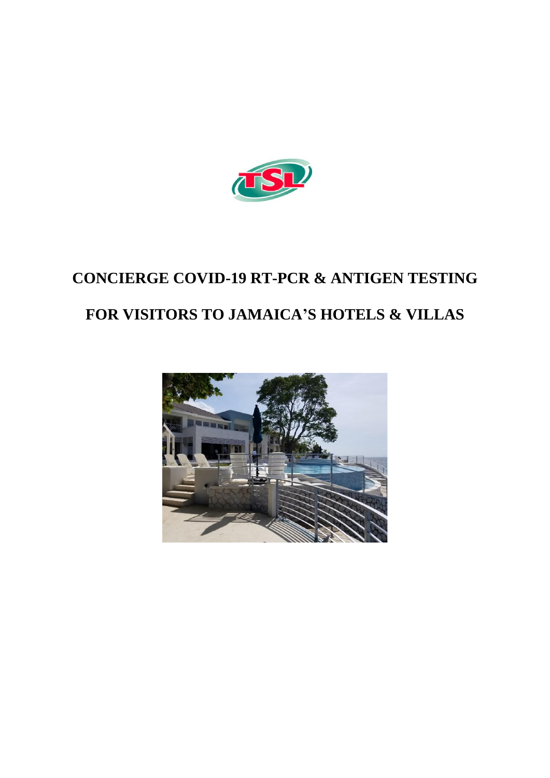

## **CONCIERGE COVID-19 RT-PCR & ANTIGEN TESTING FOR VISITORS TO JAMAICA'S HOTELS & VILLAS**